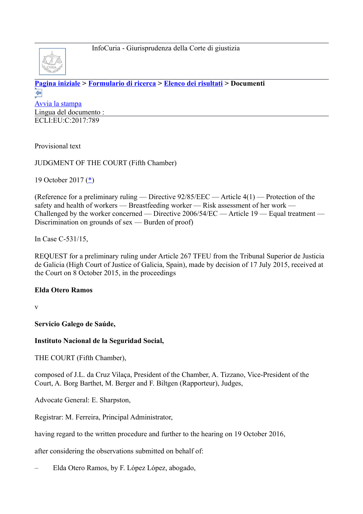

**[Pagina iniziale](http://curia.europa.eu/jcms/jcms/j_6?PortalAction_x_000_userLang=it) > [Formulario di ricerca](http://curia.europa.eu/juris/document/document.jsf?doclang=EN&text=&pageIndex=0&part=1&mode=lst&docid=195741&occ=first&dir=&actionMethod=document%2Fdocument.xhtml%3AformController.resetAction&cid=3263431) > [Elenco dei risultati](http://curia.europa.eu/juris/documents.jsf?pro=&lgrec=it&nat=or&oqp=&lg=&dates=&language=it&jur=C%2CT%2CF&cit=none%252CC%252CCJ%252CR%252C2008E%252C%252C%252C%252C%252C%252C%252C%252C%252C%252Ctrue%252Cfalse%252Cfalse&num=C-531%252F15&td=%3BALL&pcs=Oor&avg=&page=1&mat=or&jge=&for=&cid=3263431) > Documenti**  ⇚ [Avvia la stampa](http://curia.europa.eu/juris/document/document_print.jsf?doclang=EN&text=&pageIndex=0&part=1&mode=lst&docid=195741&occ=first&dir=&cid=3263431) Lingua del documento : ECLI:EU:C:2017:789

Provisional text

JUDGMENT OF THE COURT (Fifth Chamber)

19 October 2017 [\(\\*\)](http://curia.europa.eu/juris/document/document.jsf?text=&docid=195741&pageIndex=0&doclang=EN&mode=lst&dir=&occ=first&part=1&cid=3263431#Footnote*)

(Reference for a preliminary ruling — Directive 92/85/EEC — Article 4(1) — Protection of the safety and health of workers — Breastfeeding worker — Risk assessment of her work — Challenged by the worker concerned — Directive 2006/54/EC — Article 19 — Equal treatment — Discrimination on grounds of sex — Burden of proof)

In Case C-531/15,

REQUEST for a preliminary ruling under Article 267 TFEU from the Tribunal Superior de Justicia de Galicia (High Court of Justice of Galicia, Spain), made by decision of 17 July 2015, received at the Court on 8 October 2015, in the proceedings

## **Elda Otero Ramos**

v

**Servicio Galego de Saúde,**

## **Instituto Nacional de la Seguridad Social,**

THE COURT (Fifth Chamber),

composed of J.L. da Cruz Vilaça, President of the Chamber, A. Tizzano, Vice-President of the Court, A. Borg Barthet, M. Berger and F. Biltgen (Rapporteur), Judges,

Advocate General: E. Sharpston,

Registrar: M. Ferreira, Principal Administrator,

having regard to the written procedure and further to the hearing on 19 October 2016,

after considering the observations submitted on behalf of:

– Elda Otero Ramos, by F. López López, abogado,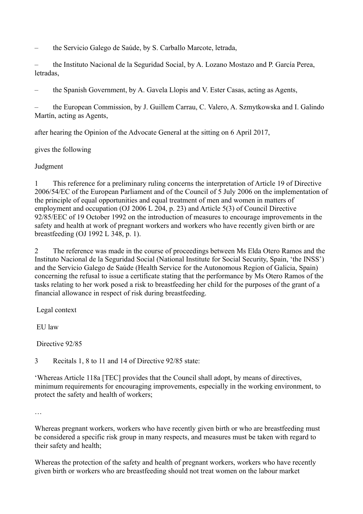– the Servicio Galego de Saúde, by S. Carballo Marcote, letrada,

– the Instituto Nacional de la Seguridad Social, by A. Lozano Mostazo and P. García Perea, letradas,

– the Spanish Government, by A. Gavela Llopis and V. Ester Casas, acting as Agents,

– the European Commission, by J. Guillem Carrau, C. Valero, A. Szmytkowska and I. Galindo Martín, acting as Agents,

after hearing the Opinion of the Advocate General at the sitting on 6 April 2017,

gives the following

Judgment

1 This reference for a preliminary ruling concerns the interpretation of Article 19 of Directive 2006/54/EC of the European Parliament and of the Council of 5 July 2006 on the implementation of the principle of equal opportunities and equal treatment of men and women in matters of employment and occupation (OJ 2006 L 204, p. 23) and Article 5(3) of Council Directive 92/85/EEC of 19 October 1992 on the introduction of measures to encourage improvements in the safety and health at work of pregnant workers and workers who have recently given birth or are breastfeeding (OJ 1992 L 348, p. 1).

2 The reference was made in the course of proceedings between Ms Elda Otero Ramos and the Instituto Nacional de la Seguridad Social (National Institute for Social Security, Spain, 'the INSS') and the Servicio Galego de Saúde (Health Service for the Autonomous Region of Galicia, Spain) concerning the refusal to issue a certificate stating that the performance by Ms Otero Ramos of the tasks relating to her work posed a risk to breastfeeding her child for the purposes of the grant of a financial allowance in respect of risk during breastfeeding.

Legal context

EU law

Directive 92/85

3 Recitals 1, 8 to 11 and 14 of Directive 92/85 state:

'Whereas Article 118a [TEC] provides that the Council shall adopt, by means of directives, minimum requirements for encouraging improvements, especially in the working environment, to protect the safety and health of workers;

…

Whereas pregnant workers, workers who have recently given birth or who are breastfeeding must be considered a specific risk group in many respects, and measures must be taken with regard to their safety and health;

Whereas the protection of the safety and health of pregnant workers, workers who have recently given birth or workers who are breastfeeding should not treat women on the labour market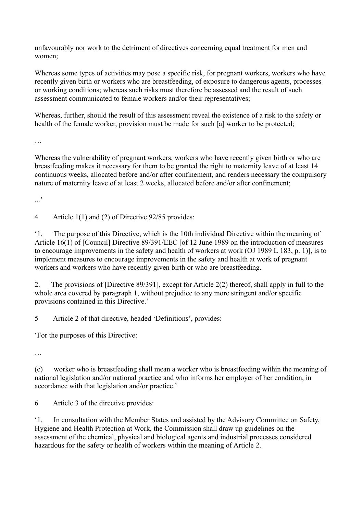unfavourably nor work to the detriment of directives concerning equal treatment for men and women;

Whereas some types of activities may pose a specific risk, for pregnant workers, workers who have recently given birth or workers who are breastfeeding, of exposure to dangerous agents, processes or working conditions; whereas such risks must therefore be assessed and the result of such assessment communicated to female workers and/or their representatives;

Whereas, further, should the result of this assessment reveal the existence of a risk to the safety or health of the female worker, provision must be made for such [a] worker to be protected;

…

Whereas the vulnerability of pregnant workers, workers who have recently given birth or who are breastfeeding makes it necessary for them to be granted the right to maternity leave of at least 14 continuous weeks, allocated before and/or after confinement, and renders necessary the compulsory nature of maternity leave of at least 2 weeks, allocated before and/or after confinement;

...<sup>,</sup>

4 Article 1(1) and (2) of Directive 92/85 provides:

'1. The purpose of this Directive, which is the 10th individual Directive within the meaning of Article 16(1) of [Council] Directive 89/391/EEC [of 12 June 1989 on the introduction of measures to encourage improvements in the safety and health of workers at work (OJ 1989 L 183, p. 1)], is to implement measures to encourage improvements in the safety and health at work of pregnant workers and workers who have recently given birth or who are breastfeeding.

2. The provisions of [Directive 89/391], except for Article 2(2) thereof, shall apply in full to the whole area covered by paragraph 1, without prejudice to any more stringent and/or specific provisions contained in this Directive.'

5 Article 2 of that directive, headed 'Definitions', provides:

'For the purposes of this Directive:

…

(c) worker who is breastfeeding shall mean a worker who is breastfeeding within the meaning of national legislation and/or national practice and who informs her employer of her condition, in accordance with that legislation and/or practice.'

6 Article 3 of the directive provides:

'1. In consultation with the Member States and assisted by the Advisory Committee on Safety, Hygiene and Health Protection at Work, the Commission shall draw up guidelines on the assessment of the chemical, physical and biological agents and industrial processes considered hazardous for the safety or health of workers within the meaning of Article 2.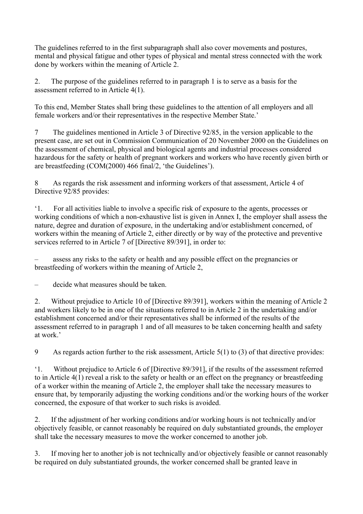The guidelines referred to in the first subparagraph shall also cover movements and postures, mental and physical fatigue and other types of physical and mental stress connected with the work done by workers within the meaning of Article 2.

2. The purpose of the guidelines referred to in paragraph 1 is to serve as a basis for the assessment referred to in Article 4(1).

To this end, Member States shall bring these guidelines to the attention of all employers and all female workers and/or their representatives in the respective Member State.'

7 The guidelines mentioned in Article 3 of Directive 92/85, in the version applicable to the present case, are set out in Commission Communication of 20 November 2000 on the Guidelines on the assessment of chemical, physical and biological agents and industrial processes considered hazardous for the safety or health of pregnant workers and workers who have recently given birth or are breastfeeding (COM(2000) 466 final/2, 'the Guidelines').

8 As regards the risk assessment and informing workers of that assessment, Article 4 of Directive 92/85 provides:

'1. For all activities liable to involve a specific risk of exposure to the agents, processes or working conditions of which a non-exhaustive list is given in Annex I, the employer shall assess the nature, degree and duration of exposure, in the undertaking and/or establishment concerned, of workers within the meaning of Article 2, either directly or by way of the protective and preventive services referred to in Article 7 of [Directive 89/391], in order to:

– assess any risks to the safety or health and any possible effect on the pregnancies or breastfeeding of workers within the meaning of Article 2,

decide what measures should be taken.

2. Without prejudice to Article 10 of [Directive 89/391], workers within the meaning of Article 2 and workers likely to be in one of the situations referred to in Article 2 in the undertaking and/or establishment concerned and/or their representatives shall be informed of the results of the assessment referred to in paragraph 1 and of all measures to be taken concerning health and safety at work.'

9 As regards action further to the risk assessment, Article 5(1) to (3) of that directive provides:

'1. Without prejudice to Article 6 of [Directive 89/391], if the results of the assessment referred to in Article 4(1) reveal a risk to the safety or health or an effect on the pregnancy or breastfeeding of a worker within the meaning of Article 2, the employer shall take the necessary measures to ensure that, by temporarily adjusting the working conditions and/or the working hours of the worker concerned, the exposure of that worker to such risks is avoided.

2. If the adjustment of her working conditions and/or working hours is not technically and/or objectively feasible, or cannot reasonably be required on duly substantiated grounds, the employer shall take the necessary measures to move the worker concerned to another job.

3. If moving her to another job is not technically and/or objectively feasible or cannot reasonably be required on duly substantiated grounds, the worker concerned shall be granted leave in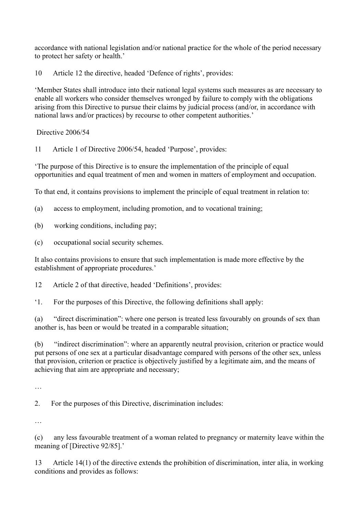accordance with national legislation and/or national practice for the whole of the period necessary to protect her safety or health.'

10 Article 12 the directive, headed 'Defence of rights', provides:

'Member States shall introduce into their national legal systems such measures as are necessary to enable all workers who consider themselves wronged by failure to comply with the obligations arising from this Directive to pursue their claims by judicial process (and/or, in accordance with national laws and/or practices) by recourse to other competent authorities.'

Directive 2006/54

11 Article 1 of Directive 2006/54, headed 'Purpose', provides:

'The purpose of this Directive is to ensure the implementation of the principle of equal opportunities and equal treatment of men and women in matters of employment and occupation.

To that end, it contains provisions to implement the principle of equal treatment in relation to:

(a) access to employment, including promotion, and to vocational training;

- (b) working conditions, including pay;
- (c) occupational social security schemes.

It also contains provisions to ensure that such implementation is made more effective by the establishment of appropriate procedures.'

12 Article 2 of that directive, headed 'Definitions', provides:

'1. For the purposes of this Directive, the following definitions shall apply:

(a) "direct discrimination": where one person is treated less favourably on grounds of sex than another is, has been or would be treated in a comparable situation;

(b) "indirect discrimination": where an apparently neutral provision, criterion or practice would put persons of one sex at a particular disadvantage compared with persons of the other sex, unless that provision, criterion or practice is objectively justified by a legitimate aim, and the means of achieving that aim are appropriate and necessary;

…

2. For the purposes of this Directive, discrimination includes:

…

(c) any less favourable treatment of a woman related to pregnancy or maternity leave within the meaning of [Directive 92/85].'

13 Article 14(1) of the directive extends the prohibition of discrimination, inter alia, in working conditions and provides as follows: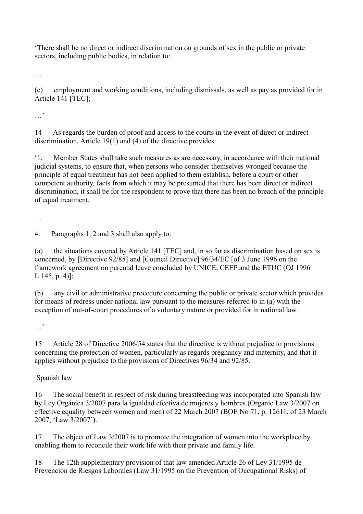'There shall be no direct or indirect discrimination on grounds of sex in the public or private sectors, including public bodies, in relation to:

…

(c) employment and working conditions, including dismissals, as well as pay as provided for in Article 141 [TEC];

…'

14 As regards the burden of proof and access to the courts in the event of direct or indirect discrimination, Article 19(1) and (4) of the directive provides:

'1. Member States shall take such measures as are necessary, in accordance with their national judicial systems, to ensure that, when persons who consider themselves wronged because the principle of equal treatment has not been applied to them establish, before a court or other competent authority, facts from which it may be presumed that there has been direct or indirect discrimination, it shall be for the respondent to prove that there has been no breach of the principle of equal treatment.

…

4. Paragraphs 1, 2 and 3 shall also apply to:

(a) the situations covered by Article 141 [TEC] and, in so far as discrimination based on sex is concerned, by [Directive 92/85] and [Council Directive] 96/34/EC [of 3 June 1996 on the framework agreement on parental leave concluded by UNICE, CEEP and the ETUC (OJ 1996 L 145, p. 4)];

(b) any civil or administrative procedure concerning the public or private sector which provides for means of redress under national law pursuant to the measures referred to in (a) with the exception of out-of-court procedures of a voluntary nature or provided for in national law.

…'

15 Article 28 of Directive 2006/54 states that the directive is without prejudice to provisions concerning the protection of women, particularly as regards pregnancy and maternity, and that it applies without prejudice to the provisions of Directives 96/34 and 92/85.

Spanish law

16 The social benefit in respect of risk during breastfeeding was incorporated into Spanish law by Ley Orgánica 3/2007 para la igualdad efectiva de mujeres y hombres (Organic Law 3/2007 on effective equality between women and men) of 22 March 2007 (BOE No 71, p. 12611, of 23 March 2007, 'Law 3/2007').

17 The object of Law 3/2007 is to promote the integration of women into the workplace by enabling them to reconcile their work life with their private and family life.

18 The 12th supplementary provision of that law amended Article 26 of Ley 31/1995 de Prevención de Riesgos Laborales (Law 31/1995 on the Prevention of Occupational Risks) of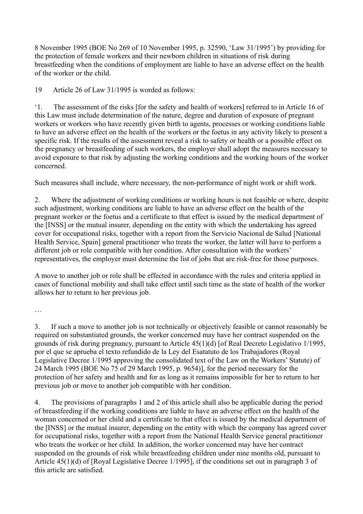8 November 1995 (BOE No 269 of 10 November 1995, p. 32590, 'Law 31/1995') by providing for the protection of female workers and their newborn children in situations of risk during breastfeeding when the conditions of employment are liable to have an adverse effect on the health of the worker or the child.

19 Article 26 of Law 31/1995 is worded as follows:

'1. The assessment of the risks [for the safety and health of workers] referred to in Article 16 of this Law must include determination of the nature, degree and duration of exposure of pregnant workers or workers who have recently given birth to agents, processes or working conditions liable to have an adverse effect on the health of the workers or the foetus in any activity likely to present a specific risk. If the results of the assessment reveal a risk to safety or health or a possible effect on the pregnancy or breastfeeding of such workers, the employer shall adopt the measures necessary to avoid exposure to that risk by adjusting the working conditions and the working hours of the worker concerned.

Such measures shall include, where necessary, the non-performance of night work or shift work.

2. Where the adjustment of working conditions or working hours is not feasible or where, despite such adjustment, working conditions are liable to have an adverse effect on the health of the pregnant worker or the foetus and a certificate to that effect is issued by the medical department of the [INSS] or the mutual insurer, depending on the entity with which the undertaking has agreed cover for occupational risks, together with a report from the Servicio Nacional de Salud [National Health Service, Spain] general practitioner who treats the worker, the latter will have to perform a different job or role compatible with her condition. After consultation with the workers' representatives, the employer must determine the list of jobs that are risk-free for those purposes.

A move to another job or role shall be effected in accordance with the rules and criteria applied in cases of functional mobility and shall take effect until such time as the state of health of the worker allows her to return to her previous job.

…

3. If such a move to another job is not technically or objectively feasible or cannot reasonably be required on substantiated grounds, the worker concerned may have her contract suspended on the grounds of risk during pregnancy, pursuant to Article 45(1)(d) [of Real Decreto Legislativo 1/1995, por el que se aprueba el texto refundido de la Ley del Esatatuto de los Trabajadores (Royal Legislative Decree 1/1995 approving the consolidated text of the Law on the Workers' Statute) of 24 March 1995 (BOE No 75 of 29 March 1995, p. 9654)], for the period necessary for the protection of her safety and health and for as long as it remains impossible for her to return to her previous job or move to another job compatible with her condition.

4. The provisions of paragraphs 1 and 2 of this article shall also be applicable during the period of breastfeeding if the working conditions are liable to have an adverse effect on the health of the woman concerned or her child and a certificate to that effect is issued by the medical department of the [INSS] or the mutual insurer, depending on the entity with which the company has agreed cover for occupational risks, together with a report from the National Health Service general practitioner who treats the worker or her child. In addition, the worker concerned may have her contract suspended on the grounds of risk while breastfeeding children under nine months old, pursuant to Article 45(1)(d) of [Royal Legislative Decree 1/1995], if the conditions set out in paragraph 3 of this article are satisfied.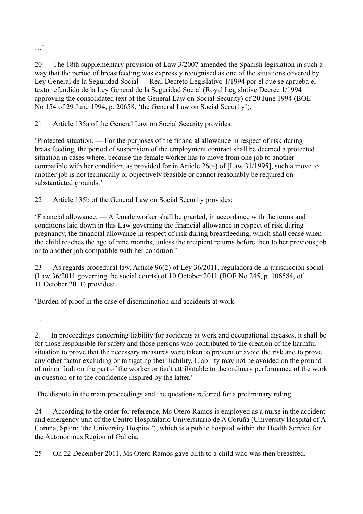…,

20 The 18th supplementary provision of Law 3/2007 amended the Spanish legislation in such a way that the period of breastfeeding was expressly recognised as one of the situations covered by Ley General de la Seguridad Social — Real Decreto Legislativo 1/1994 por el que se aprueba el texto refundido de la Ley General de la Seguridad Social (Royal Legislative Decree 1/1994 approving the consolidated text of the General Law on Social Security) of 20 June 1994 (BOE No 154 of 29 June 1994, p. 20658, 'the General Law on Social Security').

21 Article 135a of the General Law on Social Security provides:

'Protected situation. — For the purposes of the financial allowance in respect of risk during breastfeeding, the period of suspension of the employment contract shall be deemed a protected situation in cases where, because the female worker has to move from one job to another compatible with her condition, as provided for in Article 26(4) of [Law 31/1995], such a move to another job is not technically or objectively feasible or cannot reasonably be required on substantiated grounds.'

22 Article 135b of the General Law on Social Security provides:

'Financial allowance. — A female worker shall be granted, in accordance with the terms and conditions laid down in this Law governing the financial allowance in respect of risk during pregnancy, the financial allowance in respect of risk during breastfeeding, which shall cease when the child reaches the age of nine months, unless the recipient returns before then to her previous job or to another job compatible with her condition.'

23 As regards procedural law, Article 96(2) of Ley 36/2011, reguladora de la jurisdicción social (Law 36/2011 governing the social courts) of 10 October 2011 (BOE No 245, p. 106584, of 11 October 2011) provides:

'Burden of proof in the case of discrimination and accidents at work

…

2. In proceedings concerning liability for accidents at work and occupational diseases, it shall be for those responsible for safety and those persons who contributed to the creation of the harmful situation to prove that the necessary measures were taken to prevent or avoid the risk and to prove any other factor excluding or mitigating their liability. Liability may not be avoided on the ground of minor fault on the part of the worker or fault attributable to the ordinary performance of the work in question or to the confidence inspired by the latter.'

The dispute in the main proceedings and the questions referred for a preliminary ruling

24 According to the order for reference, Ms Otero Ramos is employed as a nurse in the accident and emergency unit of the Centro Hospitalario Universitario de A Coruña (University Hospital of A Coruña, Spain; 'the University Hospital'), which is a public hospital within the Health Service for the Autonomous Region of Galicia.

25 On 22 December 2011, Ms Otero Ramos gave birth to a child who was then breastfed.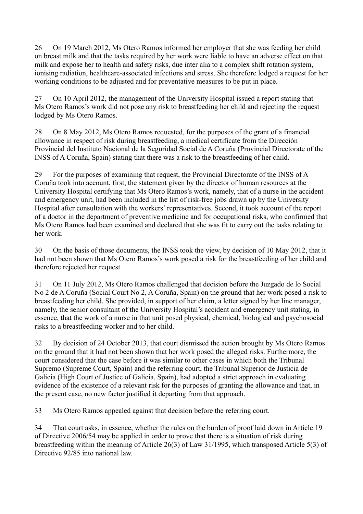26 On 19 March 2012, Ms Otero Ramos informed her employer that she was feeding her child on breast milk and that the tasks required by her work were liable to have an adverse effect on that milk and expose her to health and safety risks, due inter alia to a complex shift rotation system, ionising radiation, healthcare-associated infections and stress. She therefore lodged a request for her working conditions to be adjusted and for preventative measures to be put in place.

27 On 10 April 2012, the management of the University Hospital issued a report stating that Ms Otero Ramos's work did not pose any risk to breastfeeding her child and rejecting the request lodged by Ms Otero Ramos.

28 On 8 May 2012, Ms Otero Ramos requested, for the purposes of the grant of a financial allowance in respect of risk during breastfeeding, a medical certificate from the Dirección Provincial del Instituto Nacional de la Seguridad Social de A Coruña (Provincial Directorate of the INSS of A Coruña, Spain) stating that there was a risk to the breastfeeding of her child.

29 For the purposes of examining that request, the Provincial Directorate of the INSS of A Coruña took into account, first, the statement given by the director of human resources at the University Hospital certifying that Ms Otero Ramos's work, namely, that of a nurse in the accident and emergency unit, had been included in the list of risk-free jobs drawn up by the University Hospital after consultation with the workers' representatives. Second, it took account of the report of a doctor in the department of preventive medicine and for occupational risks, who confirmed that Ms Otero Ramos had been examined and declared that she was fit to carry out the tasks relating to her work.

30 On the basis of those documents, the INSS took the view, by decision of 10 May 2012, that it had not been shown that Ms Otero Ramos's work posed a risk for the breastfeeding of her child and therefore rejected her request.

31 On 11 July 2012, Ms Otero Ramos challenged that decision before the Juzgado de lo Social No 2 de A Coruña (Social Court No 2, A Coruña, Spain) on the ground that her work posed a risk to breastfeeding her child. She provided, in support of her claim, a letter signed by her line manager, namely, the senior consultant of the University Hospital's accident and emergency unit stating, in essence, that the work of a nurse in that unit posed physical, chemical, biological and psychosocial risks to a breastfeeding worker and to her child.

32 By decision of 24 October 2013, that court dismissed the action brought by Ms Otero Ramos on the ground that it had not been shown that her work posed the alleged risks. Furthermore, the court considered that the case before it was similar to other cases in which both the Tribunal Supremo (Supreme Court, Spain) and the referring court, the Tribunal Superior de Justicia de Galicia (High Court of Justice of Galicia, Spain), had adopted a strict approach in evaluating evidence of the existence of a relevant risk for the purposes of granting the allowance and that, in the present case, no new factor justified it departing from that approach.

33 Ms Otero Ramos appealed against that decision before the referring court.

34 That court asks, in essence, whether the rules on the burden of proof laid down in Article 19 of Directive 2006/54 may be applied in order to prove that there is a situation of risk during breastfeeding within the meaning of Article 26(3) of Law 31/1995, which transposed Article 5(3) of Directive 92/85 into national law.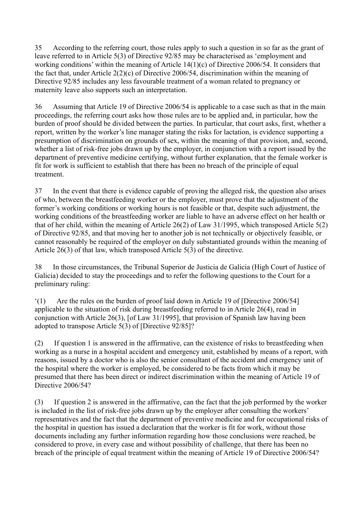35 According to the referring court, those rules apply to such a question in so far as the grant of leave referred to in Article 5(3) of Directive 92/85 may be characterised as 'employment and working conditions' within the meaning of Article 14(1)(c) of Directive 2006/54. It considers that the fact that, under Article 2(2)(c) of Directive 2006/54, discrimination within the meaning of Directive 92/85 includes any less favourable treatment of a woman related to pregnancy or maternity leave also supports such an interpretation.

36 Assuming that Article 19 of Directive 2006/54 is applicable to a case such as that in the main proceedings, the referring court asks how those rules are to be applied and, in particular, how the burden of proof should be divided between the parties. In particular, that court asks, first, whether a report, written by the worker's line manager stating the risks for lactation, is evidence supporting a presumption of discrimination on grounds of sex, within the meaning of that provision, and, second, whether a list of risk-free jobs drawn up by the employer, in conjunction with a report issued by the department of preventive medicine certifying, without further explanation, that the female worker is fit for work is sufficient to establish that there has been no breach of the principle of equal treatment.

37 In the event that there is evidence capable of proving the alleged risk, the question also arises of who, between the breastfeeding worker or the employer, must prove that the adjustment of the former's working conditions or working hours is not feasible or that, despite such adjustment, the working conditions of the breastfeeding worker are liable to have an adverse effect on her health or that of her child, within the meaning of Article 26(2) of Law 31/1995, which transposed Article 5(2) of Directive 92/85, and that moving her to another job is not technically or objectively feasible, or cannot reasonably be required of the employer on duly substantiated grounds within the meaning of Article 26(3) of that law, which transposed Article 5(3) of the directive.

38 In those circumstances, the Tribunal Superior de Justicia de Galicia (High Court of Justice of Galicia) decided to stay the proceedings and to refer the following questions to the Court for a preliminary ruling:

'(1) Are the rules on the burden of proof laid down in Article 19 of [Directive 2006/54] applicable to the situation of risk during breastfeeding referred to in Article 26(4), read in conjunction with Article 26(3), [of Law 31/1995], that provision of Spanish law having been adopted to transpose Article 5(3) of [Directive 92/85]?

(2) If question 1 is answered in the affirmative, can the existence of risks to breastfeeding when working as a nurse in a hospital accident and emergency unit, established by means of a report, with reasons, issued by a doctor who is also the senior consultant of the accident and emergency unit of the hospital where the worker is employed, be considered to be facts from which it may be presumed that there has been direct or indirect discrimination within the meaning of Article 19 of Directive 2006/54?

(3) If question 2 is answered in the affirmative, can the fact that the job performed by the worker is included in the list of risk-free jobs drawn up by the employer after consulting the workers' representatives and the fact that the department of preventive medicine and for occupational risks of the hospital in question has issued a declaration that the worker is fit for work, without those documents including any further information regarding how those conclusions were reached, be considered to prove, in every case and without possibility of challenge, that there has been no breach of the principle of equal treatment within the meaning of Article 19 of Directive 2006/54?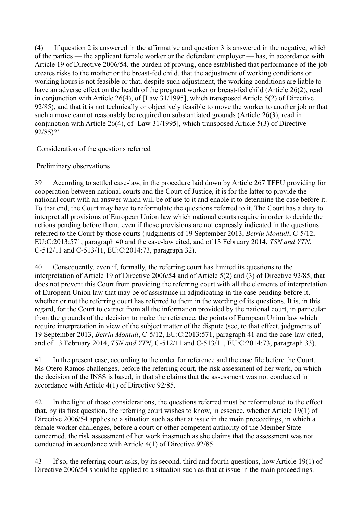(4) If question 2 is answered in the affirmative and question 3 is answered in the negative, which of the parties — the applicant female worker or the defendant employer — has, in accordance with Article 19 of Directive 2006/54, the burden of proving, once established that performance of the job creates risks to the mother or the breast-fed child, that the adjustment of working conditions or working hours is not feasible or that, despite such adjustment, the working conditions are liable to have an adverse effect on the health of the pregnant worker or breast-fed child (Article 26(2), read in conjunction with Article 26(4), of [Law 31/1995], which transposed Article 5(2) of Directive 92/85), and that it is not technically or objectively feasible to move the worker to another job or that such a move cannot reasonably be required on substantiated grounds (Article 26(3), read in conjunction with Article 26(4), of [Law 31/1995], which transposed Article 5(3) of Directive 92/85)?'

Consideration of the questions referred

Preliminary observations

39 According to settled case-law, in the procedure laid down by Article 267 TFEU providing for cooperation between national courts and the Court of Justice, it is for the latter to provide the national court with an answer which will be of use to it and enable it to determine the case before it. To that end, the Court may have to reformulate the questions referred to it. The Court has a duty to interpret all provisions of European Union law which national courts require in order to decide the actions pending before them, even if those provisions are not expressly indicated in the questions referred to the Court by those courts (judgments of 19 September 2013, *Betriu Montull*, C-5/12, EU:C:2013:571, paragraph 40 and the case-law cited, and of 13 February 2014, *TSN and YTN*, C-512/11 and C-513/11, EU:C:2014:73, paragraph 32).

40 Consequently, even if, formally, the referring court has limited its questions to the interpretation of Article 19 of Directive 2006/54 and of Article 5(2) and (3) of Directive 92/85, that does not prevent this Court from providing the referring court with all the elements of interpretation of European Union law that may be of assistance in adjudicating in the case pending before it, whether or not the referring court has referred to them in the wording of its questions. It is, in this regard, for the Court to extract from all the information provided by the national court, in particular from the grounds of the decision to make the reference, the points of European Union law which require interpretation in view of the subject matter of the dispute (see, to that effect, judgments of 19 September 2013, *Betriu Montull*, C-5/12, EU:C:2013:571, paragraph 41 and the case-law cited, and of 13 February 2014, *TSN and YTN*, C-512/11 and C-513/11, EU:C:2014:73, paragraph 33).

41 In the present case, according to the order for reference and the case file before the Court, Ms Otero Ramos challenges, before the referring court, the risk assessment of her work, on which the decision of the INSS is based, in that she claims that the assessment was not conducted in accordance with Article 4(1) of Directive 92/85.

42 In the light of those considerations, the questions referred must be reformulated to the effect that, by its first question, the referring court wishes to know, in essence, whether Article 19(1) of Directive 2006/54 applies to a situation such as that at issue in the main proceedings, in which a female worker challenges, before a court or other competent authority of the Member State concerned, the risk assessment of her work inasmuch as she claims that the assessment was not conducted in accordance with Article 4(1) of Directive 92/85.

43 If so, the referring court asks, by its second, third and fourth questions, how Article 19(1) of Directive 2006/54 should be applied to a situation such as that at issue in the main proceedings.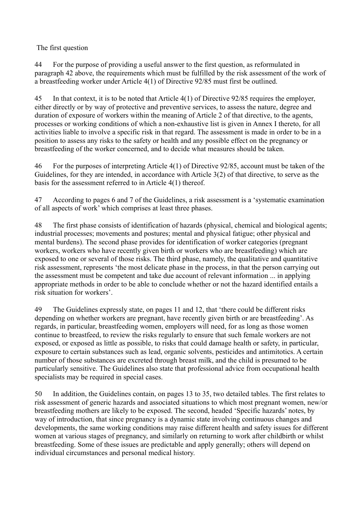The first question

44 For the purpose of providing a useful answer to the first question, as reformulated in paragraph 42 above, the requirements which must be fulfilled by the risk assessment of the work of a breastfeeding worker under Article 4(1) of Directive 92/85 must first be outlined.

45 In that context, it is to be noted that Article 4(1) of Directive 92/85 requires the employer, either directly or by way of protective and preventive services, to assess the nature, degree and duration of exposure of workers within the meaning of Article 2 of that directive, to the agents, processes or working conditions of which a non-exhaustive list is given in Annex I thereto, for all activities liable to involve a specific risk in that regard. The assessment is made in order to be in a position to assess any risks to the safety or health and any possible effect on the pregnancy or breastfeeding of the worker concerned, and to decide what measures should be taken.

46 For the purposes of interpreting Article 4(1) of Directive 92/85, account must be taken of the Guidelines, for they are intended, in accordance with Article 3(2) of that directive, to serve as the basis for the assessment referred to in Article 4(1) thereof.

47 According to pages 6 and 7 of the Guidelines, a risk assessment is a 'systematic examination of all aspects of work' which comprises at least three phases.

48 The first phase consists of identification of hazards (physical, chemical and biological agents; industrial processes; movements and postures; mental and physical fatigue; other physical and mental burdens). The second phase provides for identification of worker categories (pregnant workers, workers who have recently given birth or workers who are breastfeeding) which are exposed to one or several of those risks. The third phase, namely, the qualitative and quantitative risk assessment, represents 'the most delicate phase in the process, in that the person carrying out the assessment must be competent and take due account of relevant information ... in applying appropriate methods in order to be able to conclude whether or not the hazard identified entails a risk situation for workers'.

49 The Guidelines expressly state, on pages 11 and 12, that 'there could be different risks depending on whether workers are pregnant, have recently given birth or are breastfeeding'. As regards, in particular, breastfeeding women, employers will need, for as long as those women continue to breastfeed, to review the risks regularly to ensure that such female workers are not exposed, or exposed as little as possible, to risks that could damage health or safety, in particular, exposure to certain substances such as lead, organic solvents, pesticides and antimitotics. A certain number of those substances are excreted through breast milk, and the child is presumed to be particularly sensitive. The Guidelines also state that professional advice from occupational health specialists may be required in special cases.

50 In addition, the Guidelines contain, on pages 13 to 35, two detailed tables. The first relates to risk assessment of generic hazards and associated situations to which most pregnant women, new/or breastfeeding mothers are likely to be exposed. The second, headed 'Specific hazards' notes, by way of introduction, that since pregnancy is a dynamic state involving continuous changes and developments, the same working conditions may raise different health and safety issues for different women at various stages of pregnancy, and similarly on returning to work after childbirth or whilst breastfeeding. Some of these issues are predictable and apply generally; others will depend on individual circumstances and personal medical history.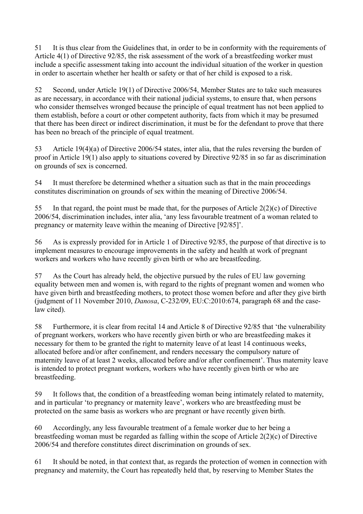51 It is thus clear from the Guidelines that, in order to be in conformity with the requirements of Article 4(1) of Directive 92/85, the risk assessment of the work of a breastfeeding worker must include a specific assessment taking into account the individual situation of the worker in question in order to ascertain whether her health or safety or that of her child is exposed to a risk.

52 Second, under Article 19(1) of Directive 2006/54, Member States are to take such measures as are necessary, in accordance with their national judicial systems, to ensure that, when persons who consider themselves wronged because the principle of equal treatment has not been applied to them establish, before a court or other competent authority, facts from which it may be presumed that there has been direct or indirect discrimination, it must be for the defendant to prove that there has been no breach of the principle of equal treatment.

53 Article 19(4)(a) of Directive 2006/54 states, inter alia, that the rules reversing the burden of proof in Article 19(1) also apply to situations covered by Directive 92/85 in so far as discrimination on grounds of sex is concerned.

54 It must therefore be determined whether a situation such as that in the main proceedings constitutes discrimination on grounds of sex within the meaning of Directive 2006/54.

55 In that regard, the point must be made that, for the purposes of Article 2(2)(c) of Directive 2006/54, discrimination includes, inter alia, 'any less favourable treatment of a woman related to pregnancy or maternity leave within the meaning of Directive [92/85]'.

56 As is expressly provided for in Article 1 of Directive 92/85, the purpose of that directive is to implement measures to encourage improvements in the safety and health at work of pregnant workers and workers who have recently given birth or who are breastfeeding.

57 As the Court has already held, the objective pursued by the rules of EU law governing equality between men and women is, with regard to the rights of pregnant women and women who have given birth and breastfeeding mothers, to protect those women before and after they give birth (judgment of 11 November 2010, *Danosa*, C-232/09, EU:C:2010:674, paragraph 68 and the caselaw cited).

58 Furthermore, it is clear from recital 14 and Article 8 of Directive 92/85 that 'the vulnerability of pregnant workers, workers who have recently given birth or who are breastfeeding makes it necessary for them to be granted the right to maternity leave of at least 14 continuous weeks, allocated before and/or after confinement, and renders necessary the compulsory nature of maternity leave of at least 2 weeks, allocated before and/or after confinement'. Thus maternity leave is intended to protect pregnant workers, workers who have recently given birth or who are breastfeeding.

59 It follows that, the condition of a breastfeeding woman being intimately related to maternity, and in particular 'to pregnancy or maternity leave', workers who are breastfeeding must be protected on the same basis as workers who are pregnant or have recently given birth.

60 Accordingly, any less favourable treatment of a female worker due to her being a breastfeeding woman must be regarded as falling within the scope of Article 2(2)(c) of Directive 2006/54 and therefore constitutes direct discrimination on grounds of sex.

61 It should be noted, in that context that, as regards the protection of women in connection with pregnancy and maternity, the Court has repeatedly held that, by reserving to Member States the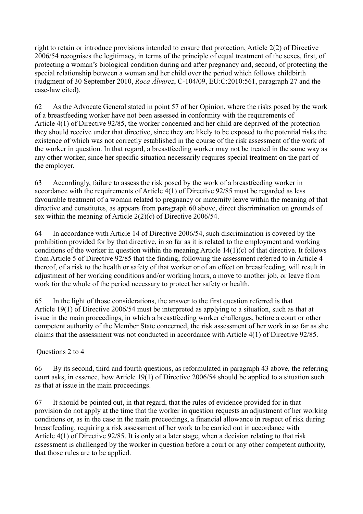right to retain or introduce provisions intended to ensure that protection, Article 2(2) of Directive 2006/54 recognises the legitimacy, in terms of the principle of equal treatment of the sexes, first, of protecting a woman's biological condition during and after pregnancy and, second, of protecting the special relationship between a woman and her child over the period which follows childbirth (judgment of 30 September 2010, *Roca Álvarez*, C-104/09, EU:C:2010:561, paragraph 27 and the case-law cited).

62 As the Advocate General stated in point 57 of her Opinion, where the risks posed by the work of a breastfeeding worker have not been assessed in conformity with the requirements of Article 4(1) of Directive 92/85, the worker concerned and her child are deprived of the protection they should receive under that directive, since they are likely to be exposed to the potential risks the existence of which was not correctly established in the course of the risk assessment of the work of the worker in question. In that regard, a breastfeeding worker may not be treated in the same way as any other worker, since her specific situation necessarily requires special treatment on the part of the employer.

63 Accordingly, failure to assess the risk posed by the work of a breastfeeding worker in accordance with the requirements of Article 4(1) of Directive 92/85 must be regarded as less favourable treatment of a woman related to pregnancy or maternity leave within the meaning of that directive and constitutes, as appears from paragraph 60 above, direct discrimination on grounds of sex within the meaning of Article 2(2)(c) of Directive 2006/54.

64 In accordance with Article 14 of Directive 2006/54, such discrimination is covered by the prohibition provided for by that directive, in so far as it is related to the employment and working conditions of the worker in question within the meaning Article 14(1)(c) of that directive. It follows from Article 5 of Directive 92/85 that the finding, following the assessment referred to in Article 4 thereof, of a risk to the health or safety of that worker or of an effect on breastfeeding, will result in adjustment of her working conditions and/or working hours, a move to another job, or leave from work for the whole of the period necessary to protect her safety or health.

65 In the light of those considerations, the answer to the first question referred is that Article 19(1) of Directive 2006/54 must be interpreted as applying to a situation, such as that at issue in the main proceedings, in which a breastfeeding worker challenges, before a court or other competent authority of the Member State concerned, the risk assessment of her work in so far as she claims that the assessment was not conducted in accordance with Article 4(1) of Directive 92/85.

Questions 2 to 4

66 By its second, third and fourth questions, as reformulated in paragraph 43 above, the referring court asks, in essence, how Article 19(1) of Directive 2006/54 should be applied to a situation such as that at issue in the main proceedings.

67 It should be pointed out, in that regard, that the rules of evidence provided for in that provision do not apply at the time that the worker in question requests an adjustment of her working conditions or, as in the case in the main proceedings, a financial allowance in respect of risk during breastfeeding, requiring a risk assessment of her work to be carried out in accordance with Article 4(1) of Directive 92/85. It is only at a later stage, when a decision relating to that risk assessment is challenged by the worker in question before a court or any other competent authority, that those rules are to be applied.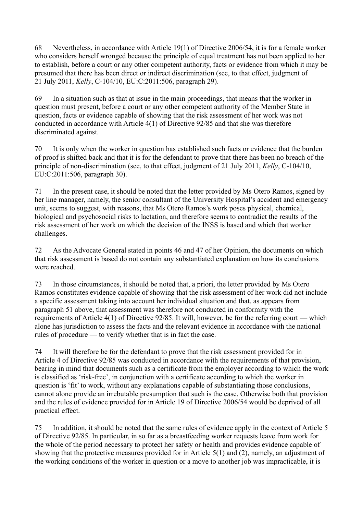68 Nevertheless, in accordance with Article 19(1) of Directive 2006/54, it is for a female worker who considers herself wronged because the principle of equal treatment has not been applied to her to establish, before a court or any other competent authority, facts or evidence from which it may be presumed that there has been direct or indirect discrimination (see, to that effect, judgment of 21 July 2011, *Kelly*, C-104/10, EU:C:2011:506, paragraph 29).

69 In a situation such as that at issue in the main proceedings, that means that the worker in question must present, before a court or any other competent authority of the Member State in question, facts or evidence capable of showing that the risk assessment of her work was not conducted in accordance with Article 4(1) of Directive 92/85 and that she was therefore discriminated against.

70 It is only when the worker in question has established such facts or evidence that the burden of proof is shifted back and that it is for the defendant to prove that there has been no breach of the principle of non-discrimination (see, to that effect, judgment of 21 July 2011, *Kelly*, C-104/10, EU:C:2011:506, paragraph 30).

71 In the present case, it should be noted that the letter provided by Ms Otero Ramos, signed by her line manager, namely, the senior consultant of the University Hospital's accident and emergency unit, seems to suggest, with reasons, that Ms Otero Ramos's work poses physical, chemical, biological and psychosocial risks to lactation, and therefore seems to contradict the results of the risk assessment of her work on which the decision of the INSS is based and which that worker challenges.

72 As the Advocate General stated in points 46 and 47 of her Opinion, the documents on which that risk assessment is based do not contain any substantiated explanation on how its conclusions were reached.

73 In those circumstances, it should be noted that, a priori, the letter provided by Ms Otero Ramos constitutes evidence capable of showing that the risk assessment of her work did not include a specific assessment taking into account her individual situation and that, as appears from paragraph 51 above, that assessment was therefore not conducted in conformity with the requirements of Article 4(1) of Directive 92/85. It will, however, be for the referring court — which alone has jurisdiction to assess the facts and the relevant evidence in accordance with the national rules of procedure — to verify whether that is in fact the case.

74 It will therefore be for the defendant to prove that the risk assessment provided for in Article 4 of Directive 92/85 was conducted in accordance with the requirements of that provision, bearing in mind that documents such as a certificate from the employer according to which the work is classified as 'risk-free', in conjunction with a certificate according to which the worker in question is 'fit' to work, without any explanations capable of substantiating those conclusions, cannot alone provide an irrebutable presumption that such is the case. Otherwise both that provision and the rules of evidence provided for in Article 19 of Directive 2006/54 would be deprived of all practical effect.

75 In addition, it should be noted that the same rules of evidence apply in the context of Article 5 of Directive 92/85. In particular, in so far as a breastfeeding worker requests leave from work for the whole of the period necessary to protect her safety or health and provides evidence capable of showing that the protective measures provided for in Article 5(1) and (2), namely, an adjustment of the working conditions of the worker in question or a move to another job was impracticable, it is